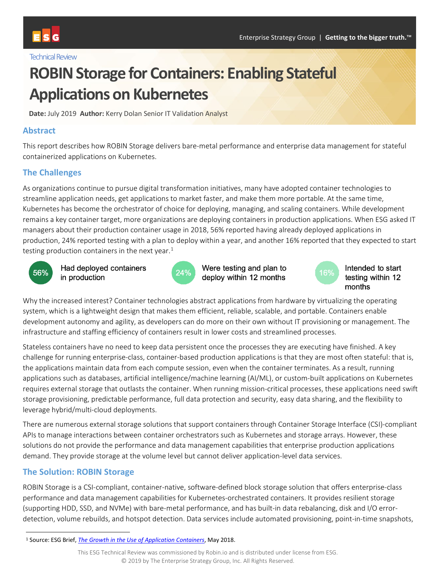#### **Technical Review**

# **ROBIN Storage for Containers: Enabling Stateful Applications on Kubernetes**

**Date:** July 2019 **Author:** Kerry Dolan Senior IT Validation Analyst

### **Abstract**

This report describes how ROBIN Storage delivers bare-metal performance and enterprise data management for stateful containerized applications on Kubernetes.

# **The Challenges**

As organizations continue to pursue digital transformation initiatives, many have adopted container technologies to streamline application needs, get applications to market faster, and make them more portable. At the same time, Kubernetes has become the orchestrator of choice for deploying, managing, and scaling containers. While development remains a key container target, more organizations are deploying containers in production applications. When ESG asked IT managers about their production container usage in 2018, 56% reported having already deployed applications in production, 24% reported testing with a plan to deploy within a year, and another 16% reported that they expected to start testing production containers in the next year.<sup>[1](#page-0-0)</sup>



Had deployed containers in production



Were testing and plan to deploy within 12 months



Intended to start testing within 12 months

Why the increased interest? Container technologies abstract applications from hardware by virtualizing the operating system, which is a lightweight design that makes them efficient, reliable, scalable, and portable. Containers enable development autonomy and agility, as developers can do more on their own without IT provisioning or management. The infrastructure and staffing efficiency of containers result in lower costs and streamlined processes.

Stateless containers have no need to keep data persistent once the processes they are executing have finished. A key challenge for running enterprise-class, container-based production applications is that they are most often stateful: that is, the applications maintain data from each compute session, even when the container terminates. As a result, running applications such as databases, artificial intelligence/machine learning (AI/ML), or custom-built applications on Kubernetes requires external storage that outlasts the container. When running mission-critical processes, these applications need swift storage provisioning, predictable performance, full data protection and security, easy data sharing, and the flexibility to leverage hybrid/multi-cloud deployments.

There are numerous external storage solutions that support containers through Container Storage Interface (CSI)-compliant APIs to manage interactions between container orchestrators such as Kubernetes and storage arrays. However, these solutions do not provide the performance and data management capabilities that enterprise production applications demand. They provide storage at the volume level but cannot deliver application-level data services.

# **The Solution: ROBIN Storage**

ROBIN Storage is a CSI-compliant, container-native, software-defined block storage solution that offers enterprise-class performance and data management capabilities for Kubernetes-orchestrated containers. It provides resilient storage (supporting HDD, SSD, and NVMe) with bare-metal performance, and has built-in data rebalancing, disk and I/O errordetection, volume rebuilds, and hotspot detection. Data services include automated provisioning, point-in-time snapshots,

<span id="page-0-0"></span> <sup>1</sup> Source: ESG Brief, *[The Growth in the Use of Application Containers](https://research.esg-global.com/reportaction/containeradoption/Toc)*, May 2018.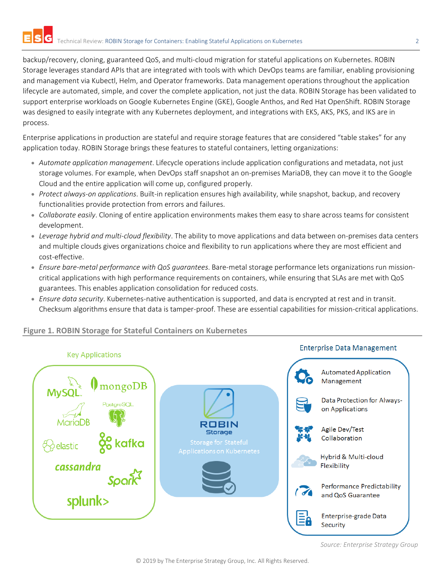backup/recovery, cloning, guaranteed QoS, and multi-cloud migration for stateful applications on Kubernetes. ROBIN Storage leverages standard APIs that are integrated with tools with which DevOps teams are familiar, enabling provisioning and management via Kubectl, Helm, and Operator frameworks. Data management operations throughout the application lifecycle are automated, simple, and cover the complete application, not just the data. ROBIN Storage has been validated to support enterprise workloads on Google Kubernetes Engine (GKE), Google Anthos, and Red Hat OpenShift. ROBIN Storage was designed to easily integrate with any Kubernetes deployment, and integrations with EKS, AKS, PKS, and IKS are in process.

Enterprise applications in production are stateful and require storage features that are considered "table stakes" for any application today. ROBIN Storage brings these features to stateful containers, letting organizations:

- *Automate application management*. Lifecycle operations include application configurations and metadata, not just storage volumes. For example, when DevOps staff snapshot an on-premises MariaDB, they can move it to the Google Cloud and the entire application will come up, configured properly.
- *Protect always-on applications*. Built-in replication ensures high availability, while snapshot, backup, and recovery functionalities provide protection from errors and failures.
- *Collaborate easily*. Cloning of entire application environments makes them easy to share across teams for consistent development.
- *Leverage hybrid and multi-cloud flexibility*. The ability to move applications and data between on-premises data centers and multiple clouds gives organizations choice and flexibility to run applications where they are most efficient and cost-effective.
- *Ensure bare-metal performance with QoS guarantees*. Bare-metal storage performance lets organizations run missioncritical applications with high performance requirements on containers, while ensuring that SLAs are met with QoS guarantees. This enables application consolidation for reduced costs.
- *Ensure data security*. Kubernetes-native authentication is supported, and data is encrypted at rest and in transit. Checksum algorithms ensure that data is tamper-proof. These are essential capabilities for mission-critical applications.

# **Key Applications**

**Figure 1. ROBIN Storage for Stateful Containers on Kubernetes**



*Source: Enterprise Strategy Group*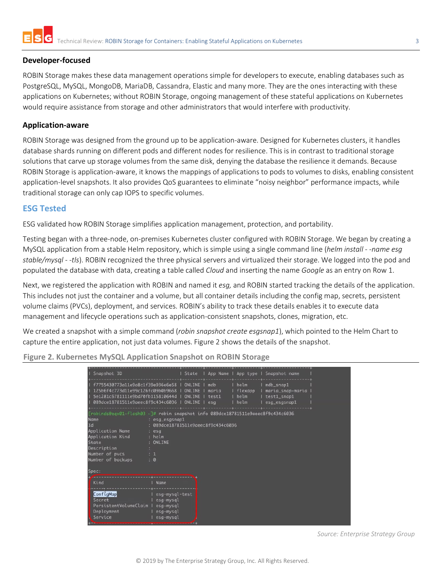

#### **Developer-focused**

ROBIN Storage makes these data management operations simple for developers to execute, enabling databases such as PostgreSQL, MySQL, MongoDB, MariaDB, Cassandra, Elastic and many more. They are the ones interacting with these applications on Kubernetes; without ROBIN Storage, ongoing management of these stateful applications on Kubernetes would require assistance from storage and other administrators that would interfere with productivity.

#### **Application-aware**

ROBIN Storage was designed from the ground up to be application-aware. Designed for Kubernetes clusters, it handles database shards running on different pods and different nodes for resilience. This is in contrast to traditional storage solutions that carve up storage volumes from the same disk, denying the database the resilience it demands. Because ROBIN Storage is application-aware, it knows the mappings of applications to pods to volumes to disks, enabling consistent application-level snapshots. It also provides QoS guarantees to eliminate "noisy neighbor" performance impacts, while traditional storage can only cap IOPS to specific volumes.

#### **ESG Tested**

ESG validated how ROBIN Storage simplifies application management, protection, and portability.

Testing began with a three-node, on-premises Kubernetes cluster configured with ROBIN Storage. We began by creating a MySQL application from a stable Helm repository, which is simple using a single command line (*helm install - -name esg stable/mysql - -tls*). ROBIN recognized the three physical servers and virtualized their storage. We logged into the pod and populated the database with data, creating a table called *Cloud* and inserting the name *Google* as an entry on Row 1.

Next, we registered the application with ROBIN and named it *esg,* and ROBIN started tracking the details of the application. This includes not just the container and a volume, but all container details including the config map, secrets, persistent volume claims (PVCs), deployment, and services. ROBIN's ability to track these details enables it to execute data management and lifecycle operations such as application-consistent snapshots, clones, migration, etc.

We created a snapshot with a simple command (*robin snapshot create esgsnap1*), which pointed to the Helm Chart to capture the entire application, not just data volumes. Figure 2 shows the details of the snapshot.

**Figure 2. Kubernetes MySQL Application Snapshot on ROBIN Storage** 

| Snapshot ID                                                                                                                                                                                                   | State                                                                                                    |                              | App Name   App type                   | Snapshot name                                                |  |
|---------------------------------------------------------------------------------------------------------------------------------------------------------------------------------------------------------------|----------------------------------------------------------------------------------------------------------|------------------------------|---------------------------------------|--------------------------------------------------------------|--|
| f7755430773a11e9a8c1f39e936e6e58  <br>125b6f4c773d11e99c126fc09b0b9668<br>5e1281c6781111e9bd70fb115810644d  <br>089dce18781511e9aeec8f9c434c6036   ONLINE                                                     | ONLINE<br><b>ONLINE</b><br><b>ONLINE</b>                                                                 | mdb<br>maria<br>test1<br>esa | I helm<br>flexapp<br>I helm<br>I helm | mdb_snap1<br>maria_snap-maria<br>test1_snap1<br>esq_esqsnap1 |  |
| [robinds@eqx01-flash03 ~]# robin snapshot info 089dce18781511e9aeec8f9c434c6036<br>Name<br>Id<br>Application Name<br>Application Kind<br>State<br>Description<br>Number of pvcs<br>Number of backups<br>Spec: | : esg_esgsnap1<br>089dce18781511e9aeec8f9c434c6036<br>: esg<br>: helm<br><b>ONLINE</b><br>$\pm$ 1<br>: 0 |                              |                                       |                                                              |  |
| Kind<br>ConfigMap<br>Secret<br>PersistentVolumeClaim                                                                                                                                                          | Name<br>esg-mysql-test<br>esg-mysql<br>esg-mysql                                                         |                              |                                       |                                                              |  |
| Deployment<br>Service                                                                                                                                                                                         | esg-mysql<br>esg-mysql                                                                                   |                              |                                       |                                                              |  |

*Source: Enterprise Strategy Group*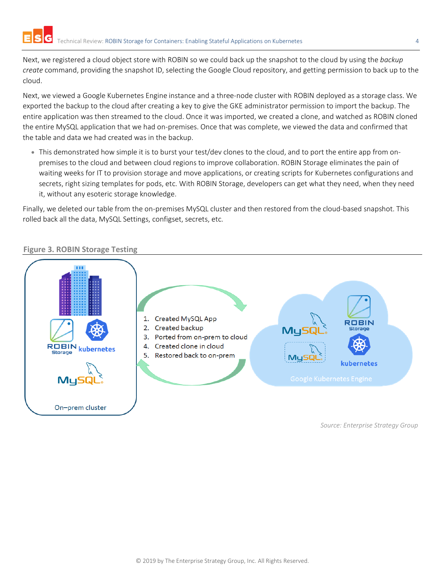Next, we registered a cloud object store with ROBIN so we could back up the snapshot to the cloud by using the *backup create* command, providing the snapshot ID, selecting the Google Cloud repository, and getting permission to back up to the cloud.

Next, we viewed a Google Kubernetes Engine instance and a three-node cluster with ROBIN deployed as a storage class. We exported the backup to the cloud after creating a key to give the GKE administrator permission to import the backup. The entire application was then streamed to the cloud. Once it was imported, we created a clone, and watched as ROBIN cloned the entire MySQL application that we had on-premises. Once that was complete, we viewed the data and confirmed that the table and data we had created was in the backup.

• This demonstrated how simple it is to burst your test/dev clones to the cloud, and to port the entire app from onpremises to the cloud and between cloud regions to improve collaboration. ROBIN Storage eliminates the pain of waiting weeks for IT to provision storage and move applications, or creating scripts for Kubernetes configurations and secrets, right sizing templates for pods, etc. With ROBIN Storage, developers can get what they need, when they need it, without any esoteric storage knowledge.

Finally, we deleted our table from the on-premises MySQL cluster and then restored from the cloud-based snapshot. This rolled back all the data, MySQL Settings, configset, secrets, etc.



# **Figure 3. ROBIN Storage Testing**

*Source: Enterprise Strategy Group*